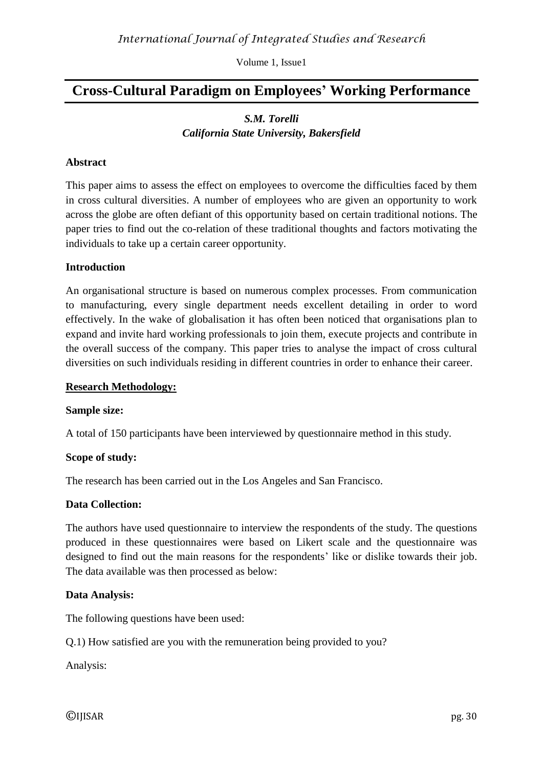# **Cross-Cultural Paradigm on Employees' Working Performance**

## *S.M. Torelli California State University, Bakersfield*

### **Abstract**

This paper aims to assess the effect on employees to overcome the difficulties faced by them in cross cultural diversities. A number of employees who are given an opportunity to work across the globe are often defiant of this opportunity based on certain traditional notions. The paper tries to find out the co-relation of these traditional thoughts and factors motivating the individuals to take up a certain career opportunity.

#### **Introduction**

An organisational structure is based on numerous complex processes. From communication to manufacturing, every single department needs excellent detailing in order to word effectively. In the wake of globalisation it has often been noticed that organisations plan to expand and invite hard working professionals to join them, execute projects and contribute in the overall success of the company. This paper tries to analyse the impact of cross cultural diversities on such individuals residing in different countries in order to enhance their career.

#### **Research Methodology:**

#### **Sample size:**

A total of 150 participants have been interviewed by questionnaire method in this study.

#### **Scope of study:**

The research has been carried out in the Los Angeles and San Francisco.

#### **Data Collection:**

The authors have used questionnaire to interview the respondents of the study. The questions produced in these questionnaires were based on Likert scale and the questionnaire was designed to find out the main reasons for the respondents' like or dislike towards their job. The data available was then processed as below:

#### **Data Analysis:**

The following questions have been used:

Q.1) How satisfied are you with the remuneration being provided to you?

Analysis: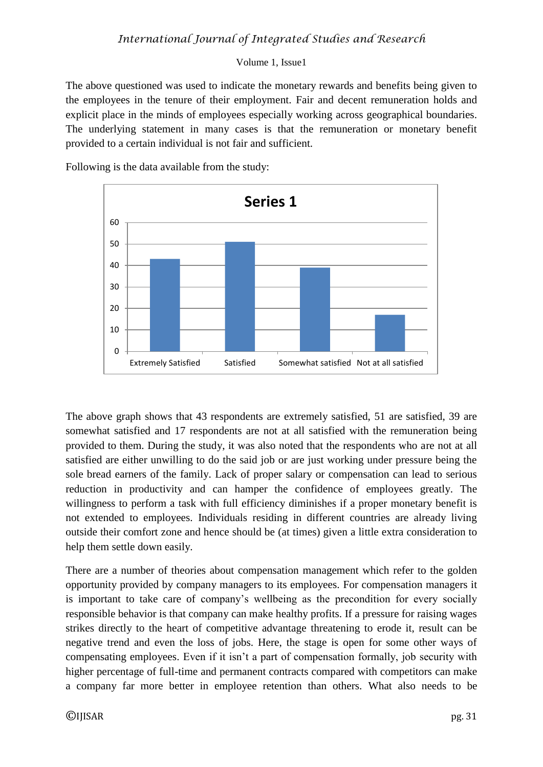The above questioned was used to indicate the monetary rewards and benefits being given to the employees in the tenure of their employment. Fair and decent remuneration holds and explicit place in the minds of employees especially working across geographical boundaries. The underlying statement in many cases is that the remuneration or monetary benefit provided to a certain individual is not fair and sufficient.

Following is the data available from the study:



The above graph shows that 43 respondents are extremely satisfied, 51 are satisfied, 39 are somewhat satisfied and 17 respondents are not at all satisfied with the remuneration being provided to them. During the study, it was also noted that the respondents who are not at all satisfied are either unwilling to do the said job or are just working under pressure being the sole bread earners of the family. Lack of proper salary or compensation can lead to serious reduction in productivity and can hamper the confidence of employees greatly. The willingness to perform a task with full efficiency diminishes if a proper monetary benefit is not extended to employees. Individuals residing in different countries are already living outside their comfort zone and hence should be (at times) given a little extra consideration to help them settle down easily.

There are a number of theories about compensation management which refer to the golden opportunity provided by company managers to its employees. For compensation managers it is important to take care of company's wellbeing as the precondition for every socially responsible behavior is that company can make healthy profits. If a pressure for raising wages strikes directly to the heart of competitive advantage threatening to erode it, result can be negative trend and even the loss of jobs. Here, the stage is open for some other ways of compensating employees. Even if it isn't a part of compensation formally, job security with higher percentage of full-time and permanent contracts compared with competitors can make a company far more better in employee retention than others. What also needs to be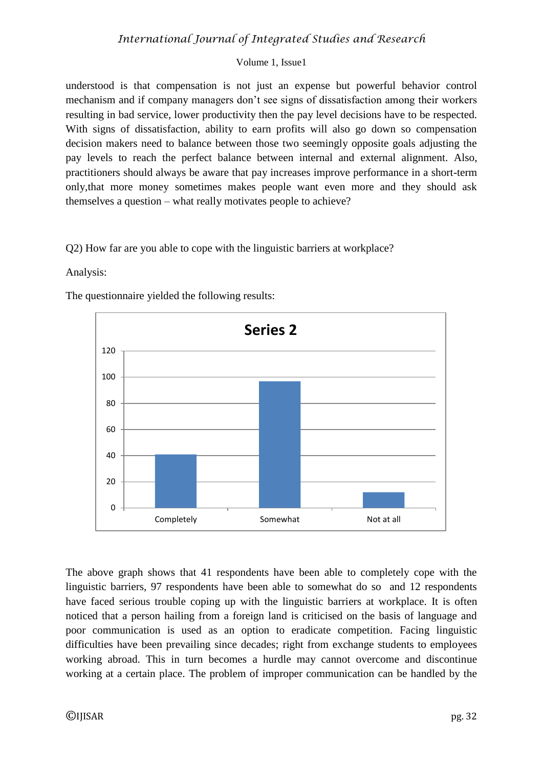understood is that compensation is not just an expense but powerful behavior control mechanism and if company managers don't see signs of dissatisfaction among their workers resulting in bad service, lower productivity then the pay level decisions have to be respected. With signs of dissatisfaction, ability to earn profits will also go down so compensation decision makers need to balance between those two seemingly opposite goals adjusting the pay levels to reach the perfect balance between internal and external alignment. Also, practitioners should always be aware that pay increases improve performance in a short-term only,that more money sometimes makes people want even more and they should ask themselves a question – what really motivates people to achieve?

Q2) How far are you able to cope with the linguistic barriers at workplace?

## Analysis:

The questionnaire yielded the following results:



The above graph shows that 41 respondents have been able to completely cope with the linguistic barriers, 97 respondents have been able to somewhat do so and 12 respondents have faced serious trouble coping up with the linguistic barriers at workplace. It is often noticed that a person hailing from a foreign land is criticised on the basis of language and poor communication is used as an option to eradicate competition. Facing linguistic difficulties have been prevailing since decades; right from exchange students to employees working abroad. This in turn becomes a hurdle may cannot overcome and discontinue working at a certain place. The problem of improper communication can be handled by the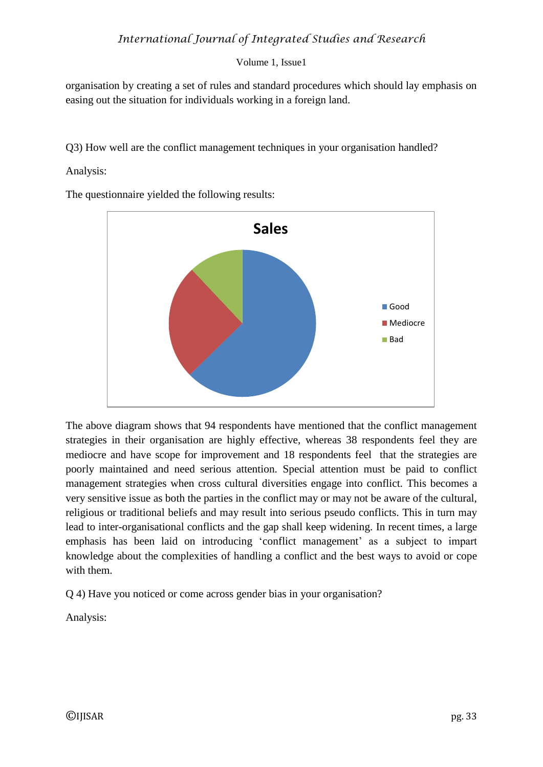organisation by creating a set of rules and standard procedures which should lay emphasis on easing out the situation for individuals working in a foreign land.

Q3) How well are the conflict management techniques in your organisation handled?

Analysis:

The questionnaire yielded the following results:



The above diagram shows that 94 respondents have mentioned that the conflict management strategies in their organisation are highly effective, whereas 38 respondents feel they are mediocre and have scope for improvement and 18 respondents feel that the strategies are poorly maintained and need serious attention. Special attention must be paid to conflict management strategies when cross cultural diversities engage into conflict. This becomes a very sensitive issue as both the parties in the conflict may or may not be aware of the cultural, religious or traditional beliefs and may result into serious pseudo conflicts. This in turn may lead to inter-organisational conflicts and the gap shall keep widening. In recent times, a large emphasis has been laid on introducing 'conflict management' as a subject to impart knowledge about the complexities of handling a conflict and the best ways to avoid or cope with them.

Q 4) Have you noticed or come across gender bias in your organisation?

Analysis: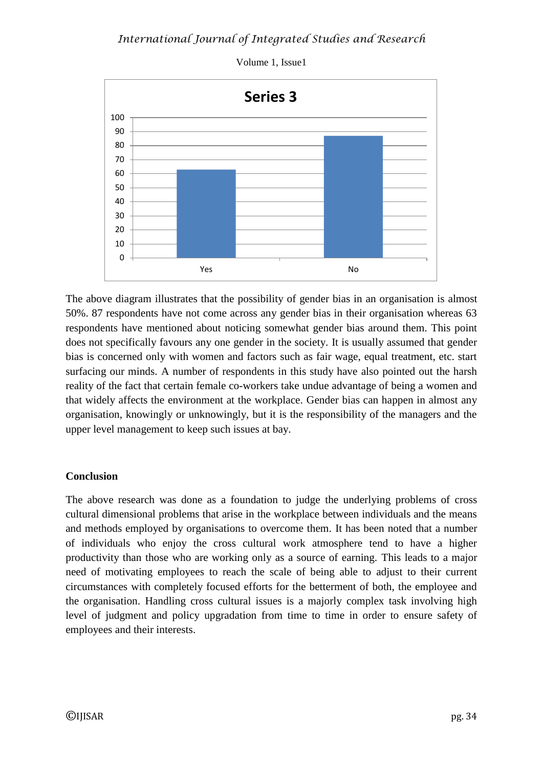

The above diagram illustrates that the possibility of gender bias in an organisation is almost 50%. 87 respondents have not come across any gender bias in their organisation whereas 63 respondents have mentioned about noticing somewhat gender bias around them. This point does not specifically favours any one gender in the society. It is usually assumed that gender bias is concerned only with women and factors such as fair wage, equal treatment, etc. start surfacing our minds. A number of respondents in this study have also pointed out the harsh reality of the fact that certain female co-workers take undue advantage of being a women and that widely affects the environment at the workplace. Gender bias can happen in almost any organisation, knowingly or unknowingly, but it is the responsibility of the managers and the upper level management to keep such issues at bay.

## **Conclusion**

The above research was done as a foundation to judge the underlying problems of cross cultural dimensional problems that arise in the workplace between individuals and the means and methods employed by organisations to overcome them. It has been noted that a number of individuals who enjoy the cross cultural work atmosphere tend to have a higher productivity than those who are working only as a source of earning. This leads to a major need of motivating employees to reach the scale of being able to adjust to their current circumstances with completely focused efforts for the betterment of both, the employee and the organisation. Handling cross cultural issues is a majorly complex task involving high level of judgment and policy upgradation from time to time in order to ensure safety of employees and their interests.